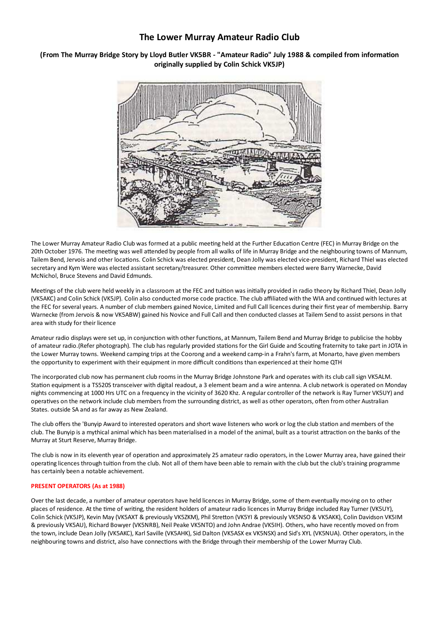## The Lower Murray Amateur Radio Club

## (From The Murray Bridge Story by Lloyd Butler VK5BR - "Amateur Radio" July 1988 & compiled from information originally supplied by Colin Schick VK5JP)



The Lower Murray Amateur Radio Club was formed at a public meeting held at the Further Education Centre (FEC) in Murray Bridge on the 20th October 1976. The meeting was well attended by people from all walks of life in Murray Bridge and the neighbouring towns of Mannum, Tailem Bend, Jervois and other locations. Colin Schick was elected president, Dean Jolly was elected vice-president, Richard Thiel was elected secretary and Kym Were was elected assistant secretary/treasurer. Other committee members elected were Barry Warnecke, David McNichol, Bruce Stevens and David Edmunds.

Meetings of the club were held weekly in a classroom at the FEC and tuition was initially provided in radio theory by Richard Thiel, Dean Jolly (VK5AKC) and Colin Schick (VK5JP). Colin also conducted morse code practice. The club affiliated with the WIA and continued with lectures at the FEC for several years. A number of club members gained Novice, Limited and Full Call licences during their first year of membership. Barry Warnecke (from Jervois & now VK5ABW) gained his Novice and Full Call and then conducted classes at Tailem Send to assist persons in that area with study for their licence

Amateur radio displays were set up, in conjunction with other functions, at Mannum, Tailem Bend and Murray Bridge to publicise the hobby of amateur radio. (Refer photograph). The club has regularly provided stations for the Girl Guide and Scouting fraternity to take part in JOTA in the Lower Murray towns. Weekend camping trips at the Coorong and a weekend camp-in a Frahn's farm, at Monarto, have given members the opportunity to experiment with their equipment in more difficult conditions than experienced at their home QTH

The incorporated club now has permanent club rooms in the Murray Bridge Johnstone Park and operates with its club call sign VK5ALM. Station equipment is a TS520S transceiver with digital readout, a 3 element beam and a wire antenna. A club network is operated on Monday nights commencing at 1000 Hrs UTC on a frequency in the vicinity of 3620 Khz. A regular controller of the network is Ray Turner VK5UY) and operatives on the network include club members from the surrounding district, as well as other operators, often from other Australian States. outside SA and as far away as New Zealand.

The club offers the 'Bunyip Award to interested operators and short wave listeners who work or log the club station and members of the club. The Bunyip is a mythical animal which has been materialised in a model of the animal, built as a tourist attraction on the banks of the Murray at Sturt Reserve, Murray Bridge.

The club is now in its eleventh year of operation and approximately 25 amateur radio operators, in the Lower Murray area, have gained their operating licences through tuition from the club. Not all of them have been able to remain with the club but the club's training programme has certainly been a notable achievement.

## **PRESENT OPERATORS (As at 1988)**

Over the last decade, a number of amateur operators have held licences in Murray Bridge, some of them eventually moving on to other places of residence. At the time of writing, the resident holders of amateur radio licences in Murray Bridge included Ray Turner (VK5UY), Colin Schick (VK5JP), Kevin May (VK5AXT & previously VK5ZKM), Phil Stretton (VK5YI & previously VK5NSO & VK5AKK), Colin Davidson VK5IM & previously VK5AU), Richard Bowyer (VK5NRB), Neil Peake VK5NTO) and John Andrae (VK5IH). Others, who have recently moved on from the town, include Dean Jolly (VK5AKC), Karl Saville (VK5AHK), Sid Dalton (VK5ASX ex VK5NSX) and Sid's XYL (VK5NUA). Other operators, in the neighbouring towns and district, also have connections with the Bridge through their membership of the Lower Murray Club.